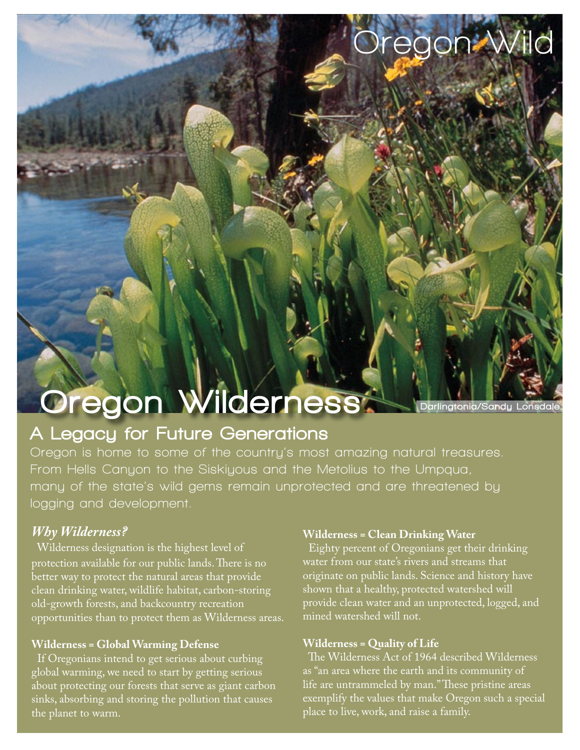# Oregon Wilderness

### A Legacy for Future Generations

**Oregon is home to some of the country's most amazing natural treasures. From Hells Canyon to the Siskiyous and the Metolius to the Umpqua, many of the state's wild gems remain unprotected and are threatened by logging and development.**

#### *Why Wilderness?*

 Wilderness designation is the highest level of protection available for our public lands. There is no better way to protect the natural areas that provide clean drinking water, wildlife habitat, carbon-storing old-growth forests, and backcountry recreation opportunities than to protect them as Wilderness areas.

#### **Wilderness = Global Warming Defense**

 If Oregonians intend to get serious about curbing global warming, we need to start by getting serious about protecting our forests that serve as giant carbon sinks, absorbing and storing the pollution that causes the planet to warm.

#### **Wilderness = Clean Drinking Water**

 Eighty percent of Oregonians get their drinking water from our state's rivers and streams that originate on public lands. Science and history have shown that a healthy, protected watershed will provide clean water and an unprotected, logged, and mined watershed will not.

Darlingtonia/Sandy Lonsdale

**Oregon Wild**

#### **Wilderness = Quality of Life**

 The Wilderness Act of 1964 described Wilderness as "an area where the earth and its community of life are untrammeled by man." These pristine areas exemplify the values that make Oregon such a special place to live, work, and raise a family.